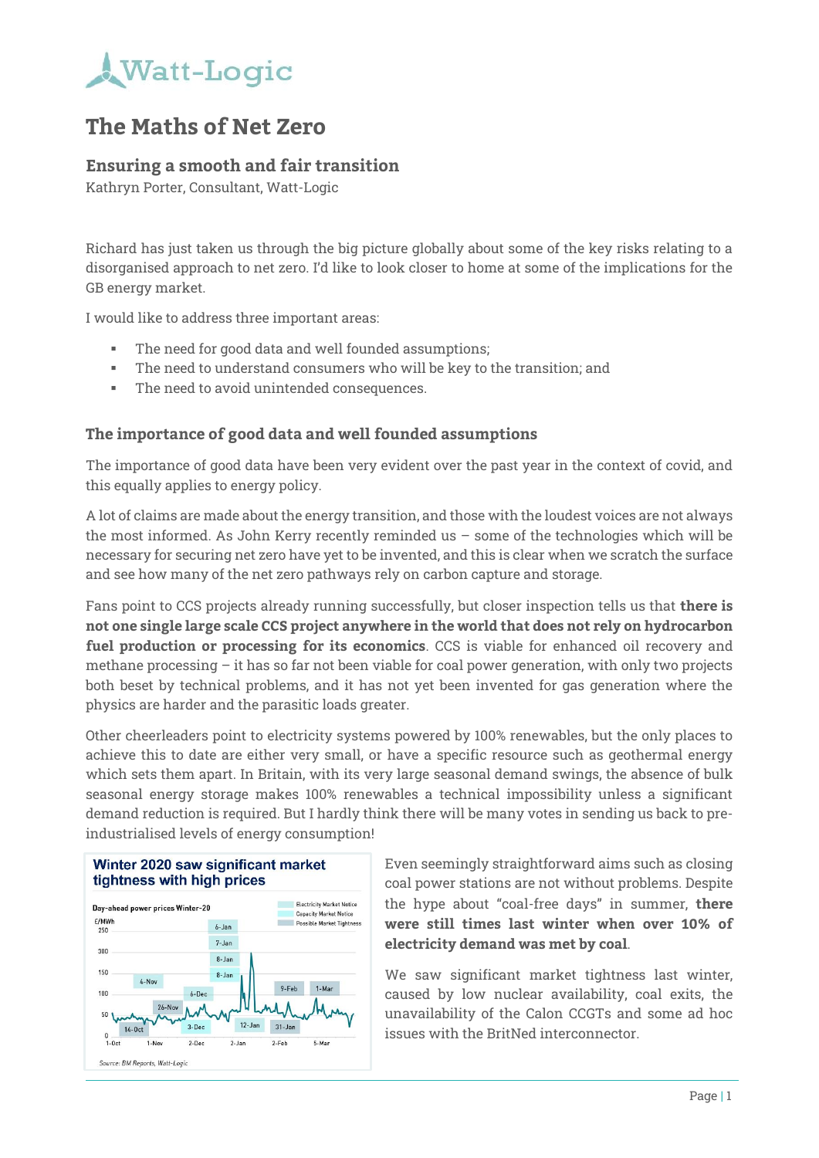

### **The Maths of Net Zero**

### **Ensuring a smooth and fair transition**

Kathryn Porter, Consultant, Watt-Logic

Richard has just taken us through the big picture globally about some of the key risks relating to a disorganised approach to net zero. I'd like to look closer to home at some of the implications for the GB energy market.

I would like to address three important areas:

- The need for good data and well founded assumptions;
- The need to understand consumers who will be key to the transition; and
- The need to avoid unintended consequences.

#### **The importance of good data and well founded assumptions**

The importance of good data have been very evident over the past year in the context of covid, and this equally applies to energy policy.

A lot of claims are made about the energy transition, and those with the loudest voices are not always the most informed. As John Kerry recently reminded us – some of the technologies which will be necessary for securing net zero have yet to be invented, and this is clear when we scratch the surface and see how many of the net zero pathways rely on carbon capture and storage.

Fans point to CCS projects already running successfully, but closer inspection tells us that **there is not one single large scale CCS project anywhere in the world that does not rely on hydrocarbon fuel production or processing for its economics**. CCS is viable for enhanced oil recovery and methane processing – it has so far not been viable for coal power generation, with only two projects both beset by technical problems, and it has not yet been invented for gas generation where the physics are harder and the parasitic loads greater.

Other cheerleaders point to electricity systems powered by 100% renewables, but the only places to achieve this to date are either very small, or have a specific resource such as geothermal energy which sets them apart. In Britain, with its very large seasonal demand swings, the absence of bulk seasonal energy storage makes 100% renewables a technical impossibility unless a significant demand reduction is required. But I hardly think there will be many votes in sending us back to preindustrialised levels of energy consumption!





Even seemingly straightforward aims such as closing coal power stations are not without problems. Despite the hype about "coal-free days" in summer, **there were still times last winter when over 10% of electricity demand was met by coal**.

We saw significant market tightness last winter, caused by low nuclear availability, coal exits, the unavailability of the Calon CCGTs and some ad hoc issues with the BritNed interconnector.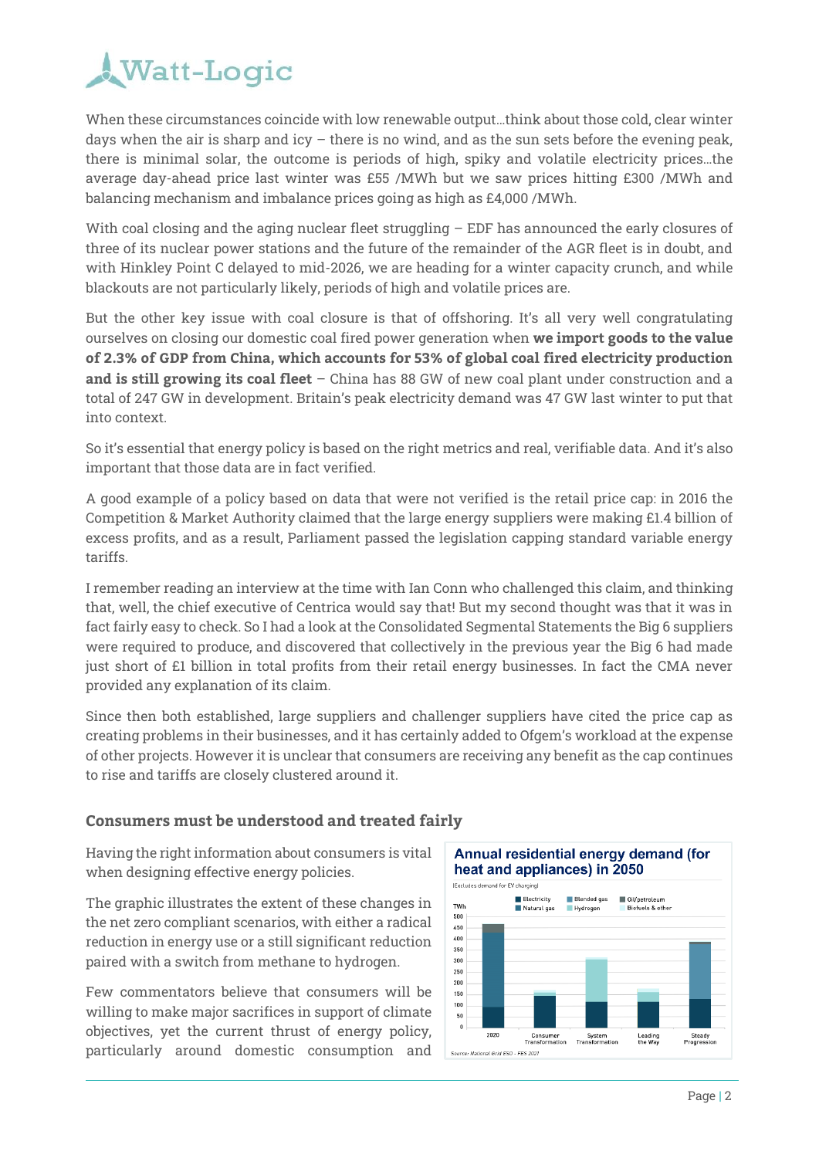

When these circumstances coincide with low renewable output…think about those cold, clear winter days when the air is sharp and icy  $-$  there is no wind, and as the sun sets before the evening peak, there is minimal solar, the outcome is periods of high, spiky and volatile electricity prices…the average day-ahead price last winter was £55 /MWh but we saw prices hitting £300 /MWh and balancing mechanism and imbalance prices going as high as £4,000 /MWh.

With coal closing and the aging nuclear fleet struggling – EDF has announced the early closures of three of its nuclear power stations and the future of the remainder of the AGR fleet is in doubt, and with Hinkley Point C delayed to mid-2026, we are heading for a winter capacity crunch, and while blackouts are not particularly likely, periods of high and volatile prices are.

But the other key issue with coal closure is that of offshoring. It's all very well congratulating ourselves on closing our domestic coal fired power generation when **we import goods to the value of 2.3% of GDP from China, which accounts for 53% of global coal fired electricity production and is still growing its coal fleet** – China has 88 GW of new coal plant under construction and a total of 247 GW in development. Britain's peak electricity demand was 47 GW last winter to put that into context.

So it's essential that energy policy is based on the right metrics and real, verifiable data. And it's also important that those data are in fact verified.

A good example of a policy based on data that were not verified is the retail price cap: in 2016 the Competition & Market Authority claimed that the large energy suppliers were making £1.4 billion of excess profits, and as a result, Parliament passed the legislation capping standard variable energy tariffs.

I remember reading an interview at the time with Ian Conn who challenged this claim, and thinking that, well, the chief executive of Centrica would say that! But my second thought was that it was in fact fairly easy to check. So I had a look at the Consolidated Segmental Statements the Big 6 suppliers were required to produce, and discovered that collectively in the previous year the Big 6 had made just short of £1 billion in total profits from their retail energy businesses. In fact the CMA never provided any explanation of its claim.

Since then both established, large suppliers and challenger suppliers have cited the price cap as creating problems in their businesses, and it has certainly added to Ofgem's workload at the expense of other projects. However it is unclear that consumers are receiving any benefit as the cap continues to rise and tariffs are closely clustered around it.

#### **Consumers must be understood and treated fairly**

Having the right information about consumers is vital when designing effective energy policies.

The graphic illustrates the extent of these changes in the net zero compliant scenarios, with either a radical reduction in energy use or a still significant reduction paired with a switch from methane to hydrogen.

Few commentators believe that consumers will be willing to make major sacrifices in support of climate objectives, yet the current thrust of energy policy, particularly around domestic consumption and

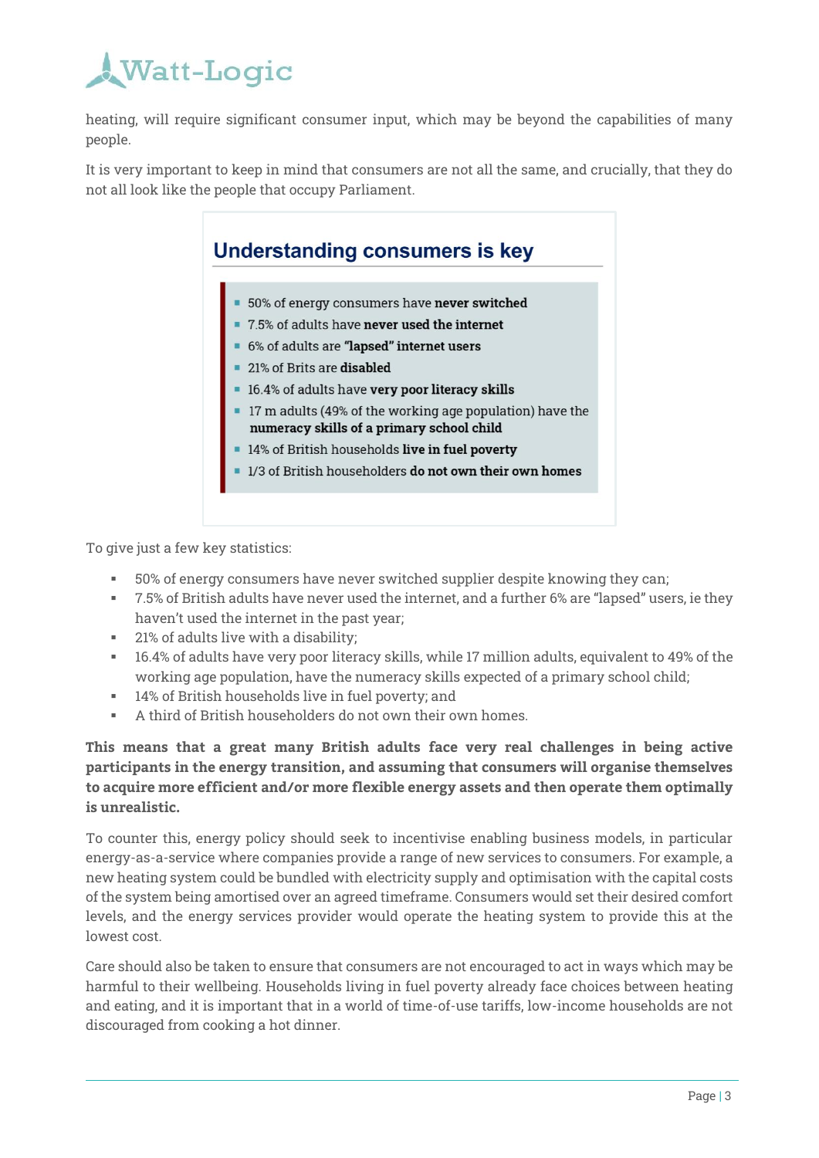## **Watt-Logic**

heating, will require significant consumer input, which may be beyond the capabilities of many people.

It is very important to keep in mind that consumers are not all the same, and crucially, that they do not all look like the people that occupy Parliament.

## **Understanding consumers is key** • 50% of energy consumers have never switched ■ 7.5% of adults have never used the internet ■ 6% of adults are "lapsed" internet users 21% of Brits are disabled ■ 16.4% of adults have very poor literacy skills ■ 17 m adults (49% of the working age population) have the numeracy skills of a primary school child 14% of British households live in fuel poverty 1/3 of British householders do not own their own homes

To give just a few key statistics:

- 50% of energy consumers have never switched supplier despite knowing they can;
- 7.5% of British adults have never used the internet, and a further 6% are "lapsed" users, ie they haven't used the internet in the past year;
- 21% of adults live with a disability;
- 16.4% of adults have very poor literacy skills, while 17 million adults, equivalent to 49% of the working age population, have the numeracy skills expected of a primary school child;
- 14% of British households live in fuel poverty; and
- A third of British householders do not own their own homes.

**This means that a great many British adults face very real challenges in being active participants in the energy transition, and assuming that consumers will organise themselves to acquire more efficient and/or more flexible energy assets and then operate them optimally is unrealistic.**

To counter this, energy policy should seek to incentivise enabling business models, in particular energy-as-a-service where companies provide a range of new services to consumers. For example, a new heating system could be bundled with electricity supply and optimisation with the capital costs of the system being amortised over an agreed timeframe. Consumers would set their desired comfort levels, and the energy services provider would operate the heating system to provide this at the lowest cost.

Care should also be taken to ensure that consumers are not encouraged to act in ways which may be harmful to their wellbeing. Households living in fuel poverty already face choices between heating and eating, and it is important that in a world of time-of-use tariffs, low-income households are not discouraged from cooking a hot dinner.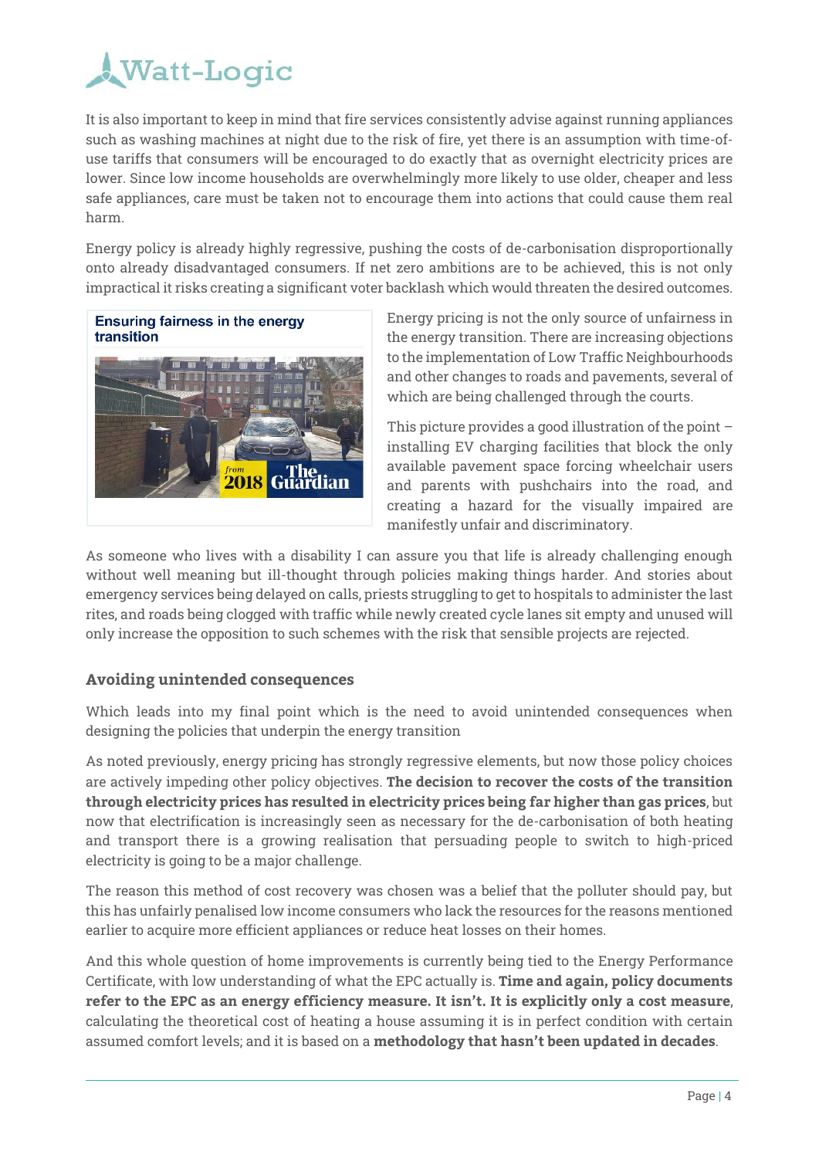

It is also important to keep in mind that fire services consistently advise against running appliances such as washing machines at night due to the risk of fire, yet there is an assumption with time-ofuse tariffs that consumers will be encouraged to do exactly that as overnight electricity prices are lower. Since low income households are overwhelmingly more likely to use older, cheaper and less safe appliances, care must be taken not to encourage them into actions that could cause them real harm.

Energy policy is already highly regressive, pushing the costs of de-carbonisation disproportionally onto already disadvantaged consumers. If net zero ambitions are to be achieved, this is not only impractical it risks creating a significant voter backlash which would threaten the desired outcomes.





Energy pricing is not the only source of unfairness in the energy transition. There are increasing objections to the implementation of Low Traffic Neighbourhoods and other changes to roads and pavements, several of which are being challenged through the courts.

This picture provides a good illustration of the point – installing EV charging facilities that block the only available pavement space forcing wheelchair users and parents with pushchairs into the road, and creating a hazard for the visually impaired are manifestly unfair and discriminatory.

As someone who lives with a disability I can assure you that life is already challenging enough without well meaning but ill-thought through policies making things harder. And stories about emergency services being delayed on calls, priests struggling to get to hospitals to administer the last rites, and roads being clogged with traffic while newly created cycle lanes sit empty and unused will only increase the opposition to such schemes with the risk that sensible projects are rejected.

#### **Avoiding unintended consequences**

Which leads into my final point which is the need to avoid unintended consequences when designing the policies that underpin the energy transition

As noted previously, energy pricing has strongly regressive elements, but now those policy choices are actively impeding other policy objectives. **The decision to recover the costs of the transition through electricity prices has resulted in electricity prices being far higher than gas prices**, but now that electrification is increasingly seen as necessary for the de-carbonisation of both heating and transport there is a growing realisation that persuading people to switch to high-priced electricity is going to be a major challenge.

The reason this method of cost recovery was chosen was a belief that the polluter should pay, but this has unfairly penalised low income consumers who lack the resources for the reasons mentioned earlier to acquire more efficient appliances or reduce heat losses on their homes.

And this whole question of home improvements is currently being tied to the Energy Performance Certificate, with low understanding of what the EPC actually is. **Time and again, policy documents refer to the EPC as an energy efficiency measure. It isn't. It is explicitly only a cost measure**, calculating the theoretical cost of heating a house assuming it is in perfect condition with certain assumed comfort levels; and it is based on a **methodology that hasn't been updated in decades**.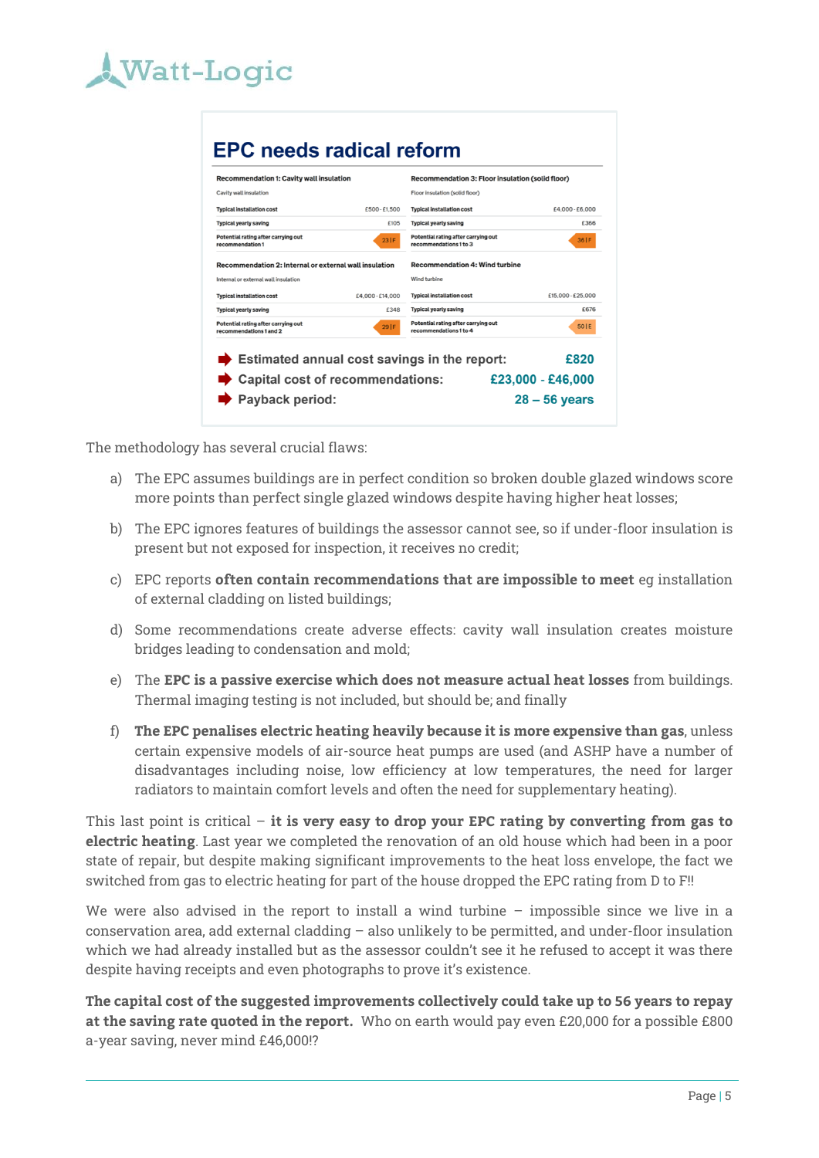# **Watt-Logic**

### **EPC needs radical reform**

| <b>Recommendation 1: Cavity wall insulation</b>                |                  | Recommendation 3: Floor insulation (solid floor)              |                   |  |
|----------------------------------------------------------------|------------------|---------------------------------------------------------------|-------------------|--|
| Cavity wall insulation                                         |                  | Floor insulation (solid floor)                                |                   |  |
| <b>Typical installation cost</b>                               | £500-£1,500      | <b>Typical installation cost</b>                              | £4.000 - £6.000   |  |
| <b>Typical yearly saving</b>                                   | £105             | <b>Typical yearly saving</b>                                  | £366              |  |
| Potential rating after carrying out<br>recommendation 1        | 23IF             | Potential rating after carrying out<br>recommendations 1 to 3 | 36   F            |  |
| Recommendation 2: Internal or external wall insulation         |                  | <b>Recommendation 4: Wind turbine</b>                         |                   |  |
| Internal or external wall insulation                           |                  | Wind turbine                                                  |                   |  |
| <b>Typical installation cost</b>                               | £4,000 - £14,000 | <b>Typical installation cost</b>                              | £15,000 - £25,000 |  |
| <b>Typical yearly saving</b>                                   | £348             | <b>Typical yearly saving</b>                                  | £676              |  |
| Potential rating after carrying out<br>recommendations 1 and 2 | 291F             | Potential rating after carrying out<br>recommendations 1 to 4 | 50 I E            |  |
|                                                                |                  |                                                               |                   |  |
|                                                                |                  | Estimated annual cost savings in the report:                  | £820              |  |
| Capital cost of recommendations:                               |                  |                                                               | £23,000 - £46,000 |  |
| Payback period:                                                |                  |                                                               | $28 - 56$ years   |  |

The methodology has several crucial flaws:

- a) The EPC assumes buildings are in perfect condition so broken double glazed windows score more points than perfect single glazed windows despite having higher heat losses;
- b) The EPC ignores features of buildings the assessor cannot see, so if under-floor insulation is present but not exposed for inspection, it receives no credit;
- c) EPC reports **often contain recommendations that are impossible to meet** eg installation of external cladding on listed buildings;
- d) Some recommendations create adverse effects: cavity wall insulation creates moisture bridges leading to condensation and mold;
- e) The **EPC is a passive exercise which does not measure actual heat losses** from buildings. Thermal imaging testing is not included, but should be; and finally
- f) **The EPC penalises electric heating heavily because it is more expensive than gas**, unless certain expensive models of air-source heat pumps are used (and ASHP have a number of disadvantages including noise, low efficiency at low temperatures, the need for larger radiators to maintain comfort levels and often the need for supplementary heating).

This last point is critical – **it is very easy to drop your EPC rating by converting from gas to electric heating**. Last year we completed the renovation of an old house which had been in a poor state of repair, but despite making significant improvements to the heat loss envelope, the fact we switched from gas to electric heating for part of the house dropped the EPC rating from D to F!!

We were also advised in the report to install a wind turbine – impossible since we live in a conservation area, add external cladding – also unlikely to be permitted, and under-floor insulation which we had already installed but as the assessor couldn't see it he refused to accept it was there despite having receipts and even photographs to prove it's existence.

**The capital cost of the suggested improvements collectively could take up to 56 years to repay at the saving rate quoted in the report.** Who on earth would pay even £20,000 for a possible £800 a-year saving, never mind £46,000!?